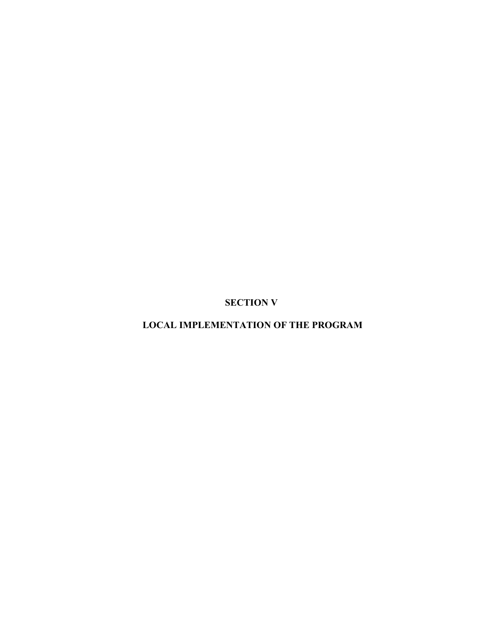**SECTION V** 

**LOCAL IMPLEMENTATION OF THE PROGRAM**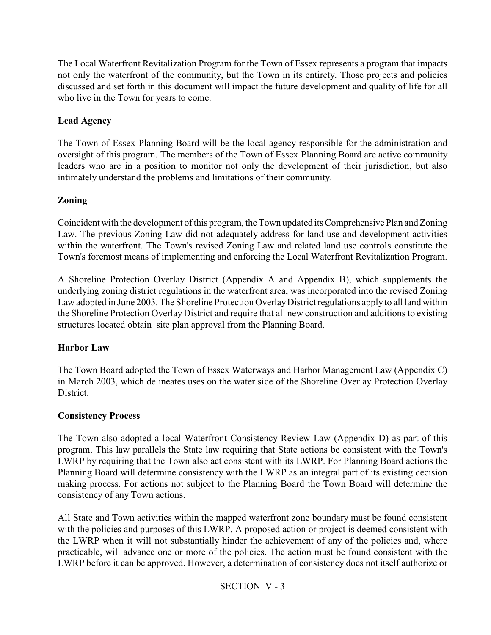The Local Waterfront Revitalization Program for the Town of Essex represents a program that impacts not only the waterfront of the community, but the Town in its entirety. Those projects and policies discussed and set forth in this document will impact the future development and quality of life for all who live in the Town for years to come.

# **Lead Agency**

The Town of Essex Planning Board will be the local agency responsible for the administration and oversight of this program. The members of the Town of Essex Planning Board are active community leaders who are in a position to monitor not only the development of their jurisdiction, but also intimately understand the problems and limitations of their community.

# **Zoning**

Coincident with the development of this program, the Town updated its Comprehensive Plan and Zoning Law. The previous Zoning Law did not adequately address for land use and development activities within the waterfront. The Town's revised Zoning Law and related land use controls constitute the Town's foremost means of implementing and enforcing the Local Waterfront Revitalization Program.

A Shoreline Protection Overlay District (Appendix A and Appendix B), which supplements the underlying zoning district regulations in the waterfront area, was incorporated into the revised Zoning Law adopted in June 2003. The Shoreline Protection Overlay District regulations apply to all land within the Shoreline Protection Overlay District and require that all new construction and additions to existing structures located obtain site plan approval from the Planning Board.

## **Harbor Law**

The Town Board adopted the Town of Essex Waterways and Harbor Management Law (Appendix C) in March 2003, which delineates uses on the water side of the Shoreline Overlay Protection Overlay District.

## **Consistency Process**

The Town also adopted a local Waterfront Consistency Review Law (Appendix D) as part of this program. This law parallels the State law requiring that State actions be consistent with the Town's LWRP by requiring that the Town also act consistent with its LWRP. For Planning Board actions the Planning Board will determine consistency with the LWRP as an integral part of its existing decision making process. For actions not subject to the Planning Board the Town Board will determine the consistency of any Town actions.

All State and Town activities within the mapped waterfront zone boundary must be found consistent with the policies and purposes of this LWRP. A proposed action or project is deemed consistent with the LWRP when it will not substantially hinder the achievement of any of the policies and, where practicable, will advance one or more of the policies. The action must be found consistent with the LWRP before it can be approved. However, a determination of consistency does not itself authorize or